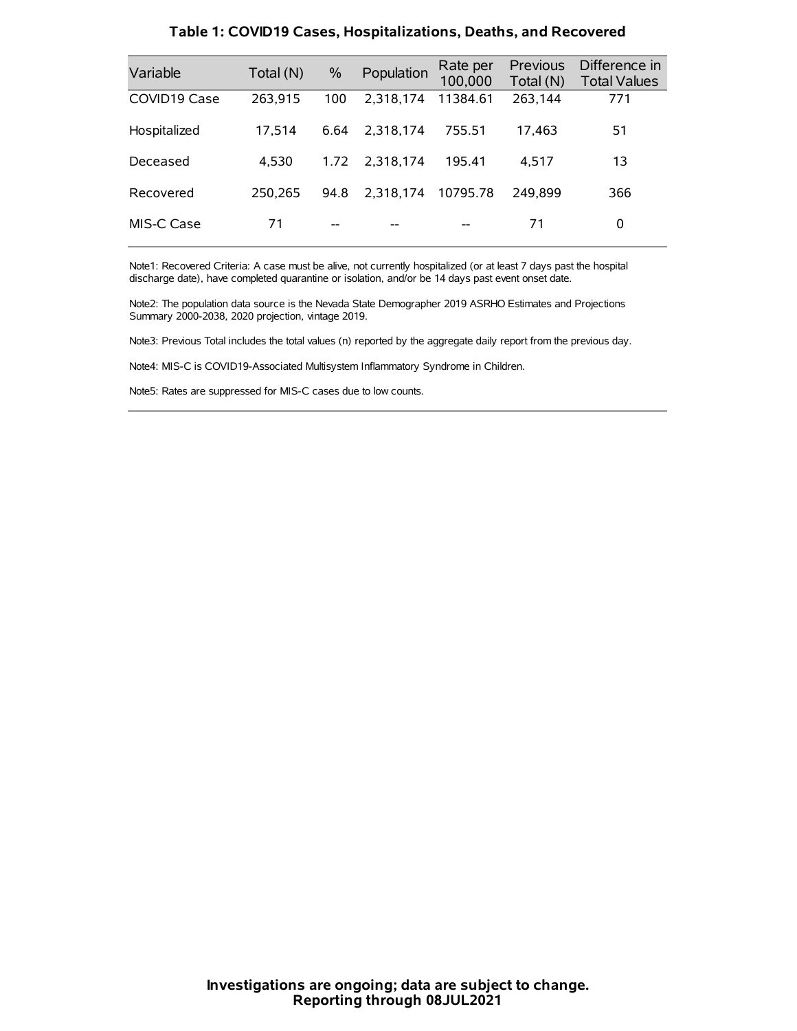| Variable     | Total (N) | $\frac{0}{0}$ | Population | Rate per<br>100,000 | Previous<br>Total (N) | Difference in<br><b>Total Values</b> |
|--------------|-----------|---------------|------------|---------------------|-----------------------|--------------------------------------|
| COVID19 Case | 263.915   | 100           | 2.318.174  | 11384.61            | 263,144               | 771                                  |
| Hospitalized | 17,514    | 6.64          | 2.318.174  | 755.51              | 17.463                | 51                                   |
| Deceased     | 4.530     | 1.72          | 2.318.174  | 195.41              | 4.517                 | 13                                   |
| Recovered    | 250.265   | 94.8          | 2.318.174  | 10795.78            | 249.899               | 366                                  |
| MIS-C Case   | 71        | --            |            |                     | 71                    | 0                                    |

#### **Table 1: COVID19 Cases, Hospitalizations, Deaths, and Recovered**

Note1: Recovered Criteria: A case must be alive, not currently hospitalized (or at least 7 days past the hospital discharge date), have completed quarantine or isolation, and/or be 14 days past event onset date.

Note2: The population data source is the Nevada State Demographer 2019 ASRHO Estimates and Projections Summary 2000-2038, 2020 projection, vintage 2019.

Note3: Previous Total includes the total values (n) reported by the aggregate daily report from the previous day.

Note4: MIS-C is COVID19-Associated Multisystem Inflammatory Syndrome in Children.

Note5: Rates are suppressed for MIS-C cases due to low counts.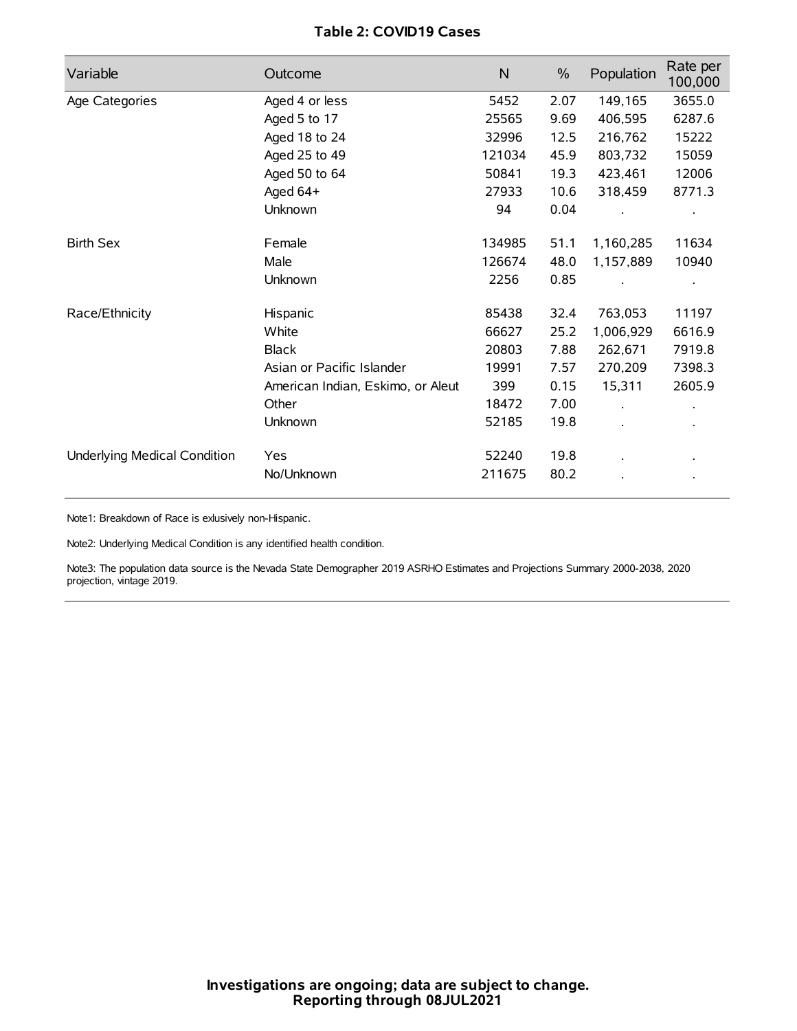# **Table 2: COVID19 Cases**

| Variable                     | Outcome                           | $\mathsf{N}$ | $\%$ | Population | Rate per<br>100,000 |
|------------------------------|-----------------------------------|--------------|------|------------|---------------------|
| Age Categories               | Aged 4 or less                    | 5452         | 2.07 | 149,165    | 3655.0              |
|                              | Aged 5 to 17                      | 25565        | 9.69 | 406,595    | 6287.6              |
|                              | Aged 18 to 24                     | 32996        | 12.5 | 216,762    | 15222               |
|                              | Aged 25 to 49                     | 121034       | 45.9 | 803,732    | 15059               |
|                              | Aged 50 to 64                     | 50841        | 19.3 | 423,461    | 12006               |
|                              | Aged $64+$                        | 27933        | 10.6 | 318,459    | 8771.3              |
|                              | Unknown                           | 94           | 0.04 |            |                     |
| <b>Birth Sex</b>             | Female                            | 134985       | 51.1 | 1,160,285  | 11634               |
|                              | Male                              | 126674       | 48.0 | 1,157,889  | 10940               |
|                              | Unknown                           | 2256         | 0.85 |            |                     |
| Race/Ethnicity               | Hispanic                          | 85438        | 32.4 | 763,053    | 11197               |
|                              | White                             | 66627        | 25.2 | 1,006,929  | 6616.9              |
|                              | <b>Black</b>                      | 20803        | 7.88 | 262,671    | 7919.8              |
|                              | Asian or Pacific Islander         | 19991        | 7.57 | 270,209    | 7398.3              |
|                              | American Indian, Eskimo, or Aleut | 399          | 0.15 | 15,311     | 2605.9              |
|                              | Other                             | 18472        | 7.00 |            |                     |
|                              | Unknown                           | 52185        | 19.8 |            |                     |
| Underlying Medical Condition | <b>Yes</b>                        | 52240        | 19.8 |            |                     |
|                              | No/Unknown                        | 211675       | 80.2 |            |                     |

Note1: Breakdown of Race is exlusively non-Hispanic.

Note2: Underlying Medical Condition is any identified health condition.

Note3: The population data source is the Nevada State Demographer 2019 ASRHO Estimates and Projections Summary 2000-2038, 2020 projection, vintage 2019.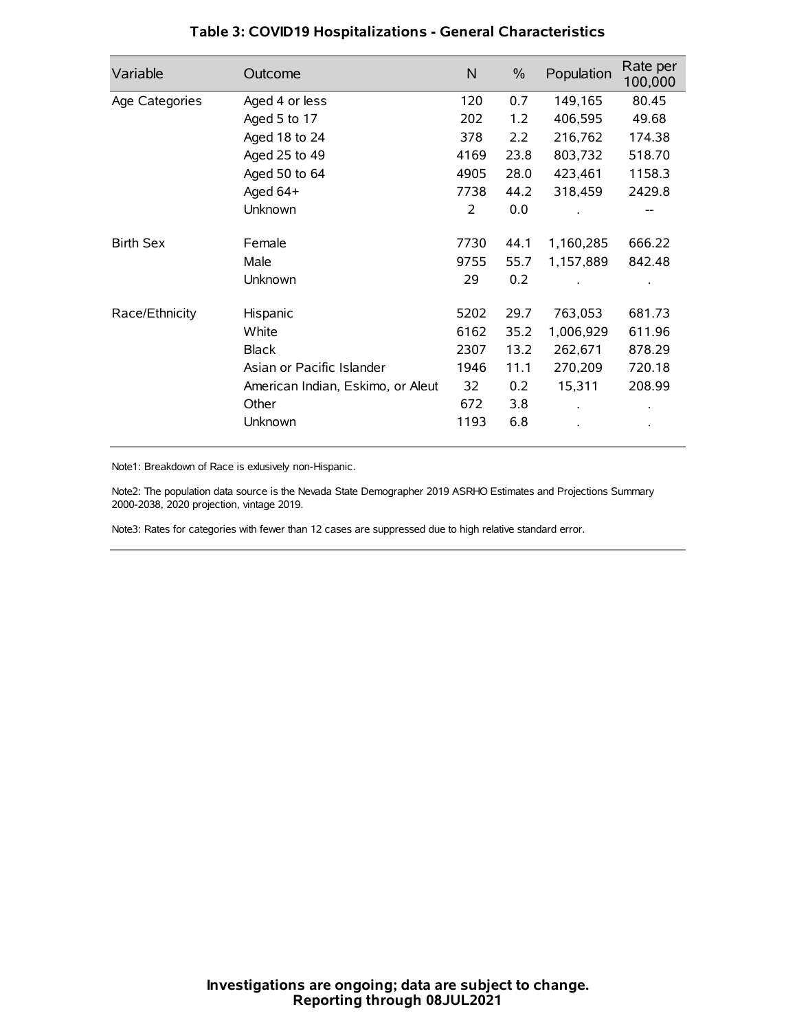| Variable         | Outcome                           | N    | $\%$ | Population | Rate per<br>100,000 |
|------------------|-----------------------------------|------|------|------------|---------------------|
| Age Categories   | Aged 4 or less                    | 120  | 0.7  | 149,165    | 80.45               |
|                  | Aged 5 to 17                      | 202  | 1.2  | 406,595    | 49.68               |
|                  | Aged 18 to 24                     | 378  | 2.2  | 216,762    | 174.38              |
|                  | Aged 25 to 49                     | 4169 | 23.8 | 803,732    | 518.70              |
|                  | Aged 50 to 64                     | 4905 | 28.0 | 423,461    | 1158.3              |
|                  | Aged 64+                          | 7738 | 44.2 | 318,459    | 2429.8              |
|                  | Unknown                           | 2    | 0.0  |            |                     |
| <b>Birth Sex</b> | Female                            | 7730 | 44.1 | 1,160,285  | 666.22              |
|                  | Male                              | 9755 | 55.7 | 1,157,889  | 842.48              |
|                  | Unknown                           | 29   | 0.2  |            |                     |
| Race/Ethnicity   | Hispanic                          | 5202 | 29.7 | 763,053    | 681.73              |
|                  | White                             | 6162 | 35.2 | 1,006,929  | 611.96              |
|                  | <b>Black</b>                      | 2307 | 13.2 | 262,671    | 878.29              |
|                  | Asian or Pacific Islander         | 1946 | 11.1 | 270,209    | 720.18              |
|                  | American Indian, Eskimo, or Aleut | 32   | 0.2  | 15,311     | 208.99              |
|                  | Other                             | 672  | 3.8  |            |                     |
|                  | Unknown                           | 1193 | 6.8  |            |                     |

# **Table 3: COVID19 Hospitalizations - General Characteristics**

Note1: Breakdown of Race is exlusively non-Hispanic.

Note2: The population data source is the Nevada State Demographer 2019 ASRHO Estimates and Projections Summary 2000-2038, 2020 projection, vintage 2019.

Note3: Rates for categories with fewer than 12 cases are suppressed due to high relative standard error.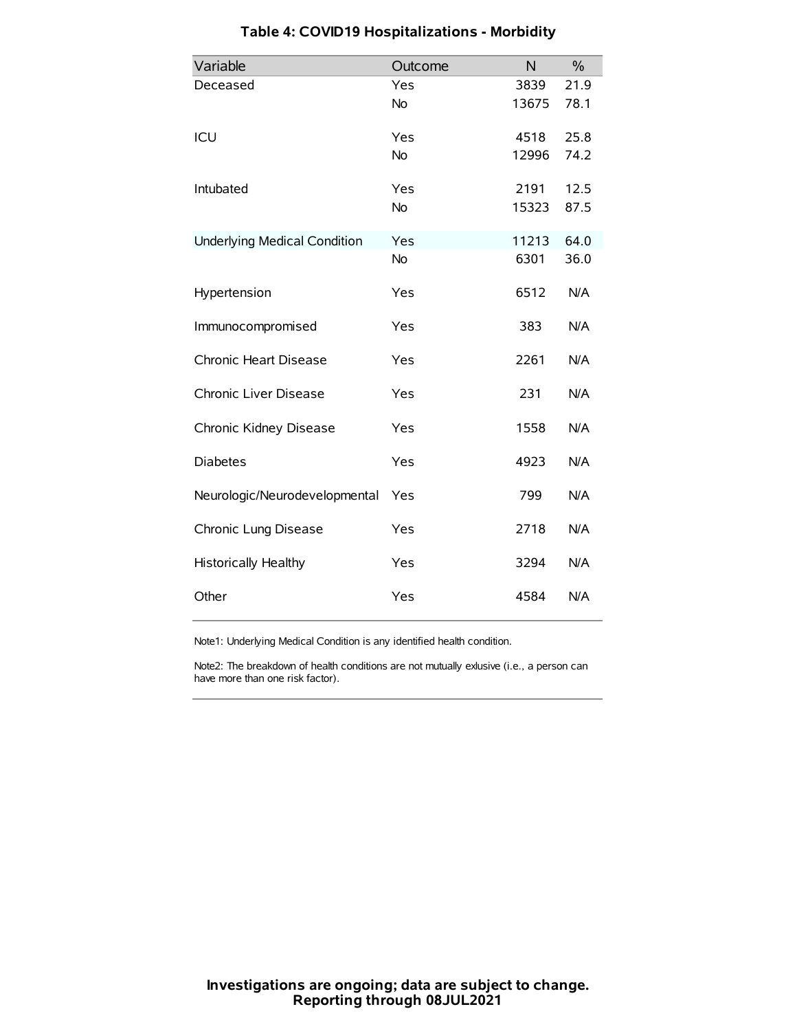| Variable                            | Outcome   | N     | $\frac{0}{0}$ |
|-------------------------------------|-----------|-------|---------------|
| Deceased                            | Yes       | 3839  | 21.9          |
|                                     | No        | 13675 | 78.1          |
| ICU                                 | Yes       | 4518  | 25.8          |
|                                     | <b>No</b> | 12996 | 74.2          |
| Intubated                           | Yes       | 2191  | 12.5          |
|                                     | <b>No</b> | 15323 | 87.5          |
| <b>Underlying Medical Condition</b> | Yes       | 11213 | 64.0          |
|                                     | No        | 6301  | 36.0          |
| Hypertension                        | Yes       | 6512  | N/A           |
| Immunocompromised                   | Yes       | 383   | N/A           |
| Chronic Heart Disease               | Yes       | 2261  | N/A           |
| Chronic Liver Disease               | Yes       | 231   | N/A           |
| Chronic Kidney Disease              | Yes       | 1558  | N/A           |
| <b>Diabetes</b>                     | Yes       | 4923  | N/A           |
| Neurologic/Neurodevelopmental       | Yes       | 799   | N/A           |
| Chronic Lung Disease                | Yes       | 2718  | N/A           |
| <b>Historically Healthy</b>         | Yes       | 3294  | N/A           |
| Other                               | Yes       | 4584  | N/A           |

# **Table 4: COVID19 Hospitalizations - Morbidity**

Note1: Underlying Medical Condition is any identified health condition.

Note2: The breakdown of health conditions are not mutually exlusive (i.e., a person can have more than one risk factor).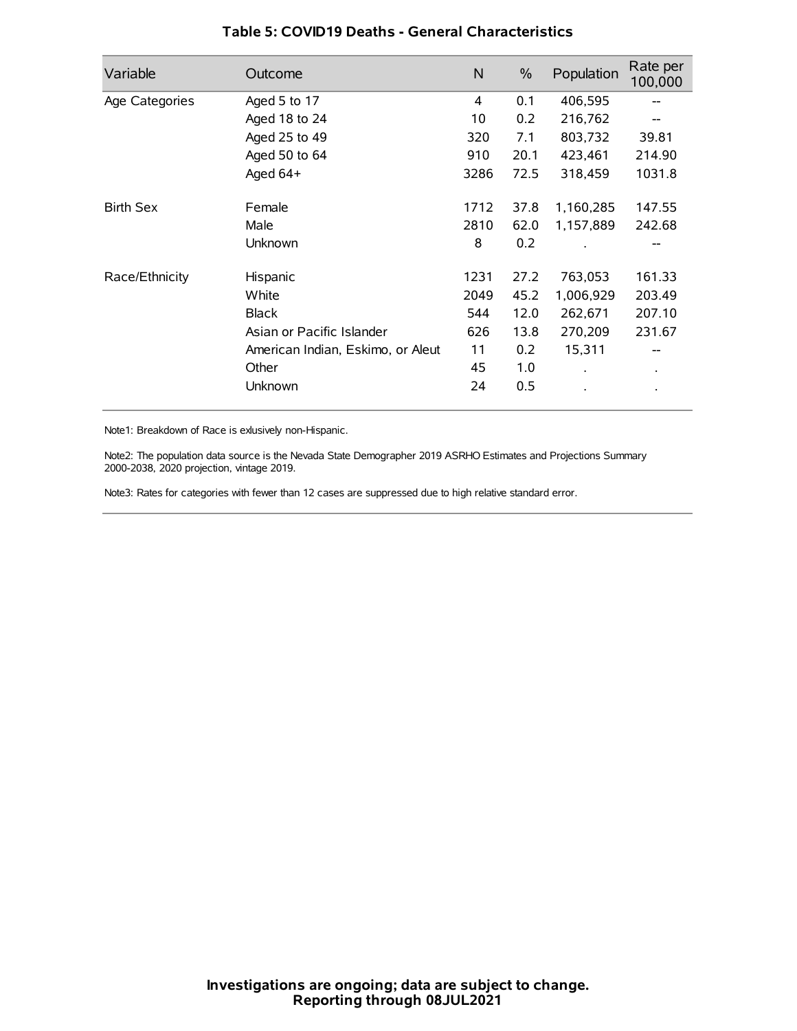| Variable         | Outcome                           | N    | $\%$ | Population | Rate per<br>100,000 |
|------------------|-----------------------------------|------|------|------------|---------------------|
| Age Categories   | Aged 5 to 17                      | 4    | 0.1  | 406,595    | --                  |
|                  | Aged 18 to 24                     | 10   | 0.2  | 216,762    |                     |
|                  | Aged 25 to 49                     | 320  | 7.1  | 803,732    | 39.81               |
|                  | Aged 50 to 64                     | 910  | 20.1 | 423,461    | 214.90              |
|                  | Aged $64+$                        | 3286 | 72.5 | 318,459    | 1031.8              |
| <b>Birth Sex</b> | Female                            | 1712 | 37.8 | 1,160,285  | 147.55              |
|                  | Male                              | 2810 | 62.0 | 1,157,889  | 242.68              |
|                  | Unknown                           | 8    | 0.2  |            |                     |
| Race/Ethnicity   | Hispanic                          | 1231 | 27.2 | 763,053    | 161.33              |
|                  | White                             | 2049 | 45.2 | 1,006,929  | 203.49              |
|                  | <b>Black</b>                      | 544  | 12.0 | 262,671    | 207.10              |
|                  | Asian or Pacific Islander         | 626  | 13.8 | 270,209    | 231.67              |
|                  | American Indian, Eskimo, or Aleut | 11   | 0.2  | 15,311     |                     |
|                  | Other                             | 45   | 1.0  |            | $\bullet$           |
|                  | Unknown                           | 24   | 0.5  |            |                     |

## **Table 5: COVID19 Deaths - General Characteristics**

Note1: Breakdown of Race is exlusively non-Hispanic.

Note2: The population data source is the Nevada State Demographer 2019 ASRHO Estimates and Projections Summary 2000-2038, 2020 projection, vintage 2019.

Note3: Rates for categories with fewer than 12 cases are suppressed due to high relative standard error.